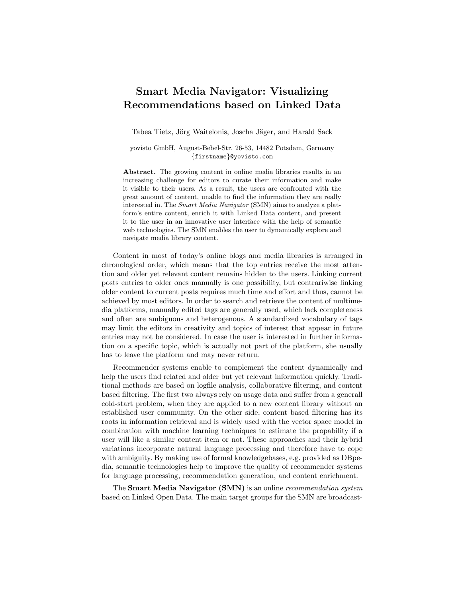## Smart Media Navigator: Visualizing Recommendations based on Linked Data

Tabea Tietz, Jörg Waitelonis, Joscha Jäger, and Harald Sack

yovisto GmbH, August-Bebel-Str. 26-53, 14482 Potsdam, Germany {firstname}@yovisto.com

Abstract. The growing content in online media libraries results in an increasing challenge for editors to curate their information and make it visible to their users. As a result, the users are confronted with the great amount of content, unable to find the information they are really interested in. The *Smart Media Navigator* (SMN) aims to analyze a platform's entire content, enrich it with Linked Data content, and present it to the user in an innovative user interface with the help of semantic web technologies. The SMN enables the user to dynamically explore and navigate media library content.

Content in most of today's online blogs and media libraries is arranged in chronological order, which means that the top entries receive the most attention and older yet relevant content remains hidden to the users. Linking current posts entries to older ones manually is one possibility, but contrariwise linking older content to current posts requires much time and effort and thus, cannot be achieved by most editors. In order to search and retrieve the content of multimedia platforms, manually edited tags are generally used, which lack completeness and often are ambiguous and heterogenous. A standardized vocabulary of tags may limit the editors in creativity and topics of interest that appear in future entries may not be considered. In case the user is interested in further information on a specific topic, which is actually not part of the platform, she usually has to leave the platform and may never return.

Recommender systems enable to complement the content dynamically and help the users find related and older but yet relevant information quickly. Traditional methods are based on logfile analysis, collaborative filtering, and content based filtering. The first two always rely on usage data and suffer from a generall cold-start problem, when they are applied to a new content library without an established user community. On the other side, content based filtering has its roots in information retrieval and is widely used with the vector space model in combination with machine learning techniques to estimate the propability if a user will like a similar content item or not. These approaches and their hybrid variations incorporate natural language processing and therefore have to cope with ambiguity. By making use of formal knowledgebases, e.g. provided as DBpedia, semantic technologies help to improve the quality of recommender systems for language processing, recommendation generation, and content enrichment.

The Smart Media Navigator (SMN) is an online recommendation system based on Linked Open Data. The main target groups for the SMN are broadcast